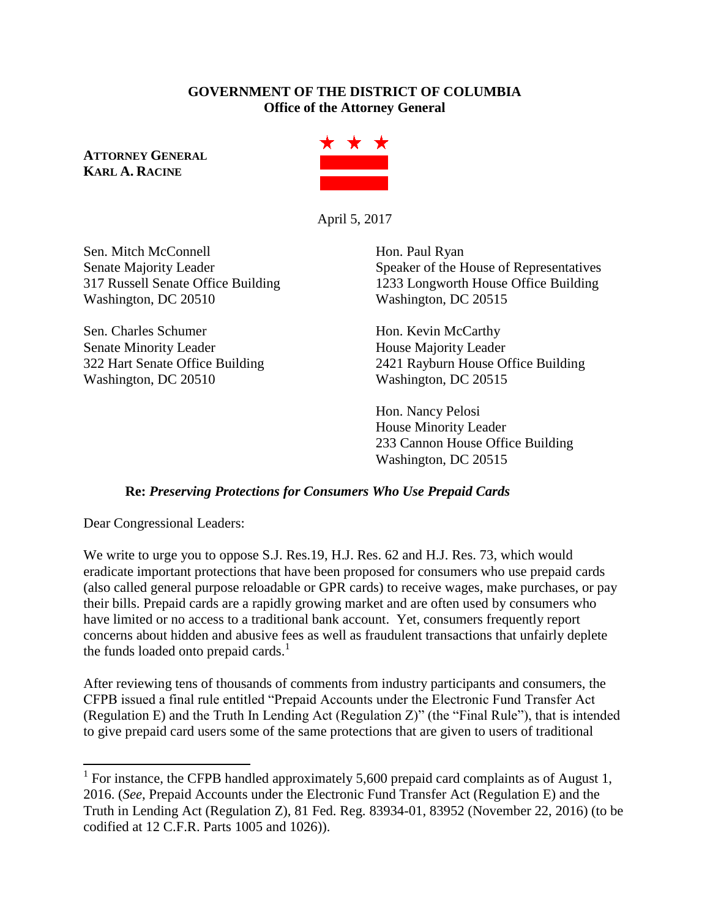### **GOVERNMENT OF THE DISTRICT OF COLUMBIA Office of the Attorney General**

**ATTORNEY GENERAL KARL A. RACINE**



April 5, 2017

Sen. Mitch McConnell Hon. Paul Ryan Washington, DC 20510 Washington, DC 20515

Sen. Charles Schumer Hon. Kevin McCarthy Senate Minority Leader **House Majority Leader** Washington, DC 20510 Washington, DC 20515

Senate Majority Leader Speaker of the House of Representatives 317 Russell Senate Office Building 1233 Longworth House Office Building

322 Hart Senate Office Building 2421 Rayburn House Office Building

Hon. Nancy Pelosi House Minority Leader 233 Cannon House Office Building Washington, DC 20515

## **Re:** *Preserving Protections for Consumers Who Use Prepaid Cards*

Dear Congressional Leaders:

 $\overline{a}$ 

We write to urge you to oppose S.J. Res.19, H.J. Res. 62 and H.J. Res. 73, which would eradicate important protections that have been proposed for consumers who use prepaid cards (also called general purpose reloadable or GPR cards) to receive wages, make purchases, or pay their bills. Prepaid cards are a rapidly growing market and are often used by consumers who have limited or no access to a traditional bank account. Yet, consumers frequently report concerns about hidden and abusive fees as well as fraudulent transactions that unfairly deplete the funds loaded onto prepaid cards.<sup>1</sup>

After reviewing tens of thousands of comments from industry participants and consumers, the CFPB issued a final rule entitled "Prepaid Accounts under the Electronic Fund Transfer Act (Regulation E) and the Truth In Lending Act (Regulation Z)" (the "Final Rule"), that is intended to give prepaid card users some of the same protections that are given to users of traditional

<sup>&</sup>lt;sup>1</sup> For instance, the CFPB handled approximately 5,600 prepaid card complaints as of August 1, 2016. (*See*, Prepaid Accounts under the Electronic Fund Transfer Act (Regulation E) and the Truth in Lending Act (Regulation Z), 81 Fed. Reg. 83934-01, 83952 (November 22, 2016) (to be codified at 12 C.F.R. Parts 1005 and 1026)).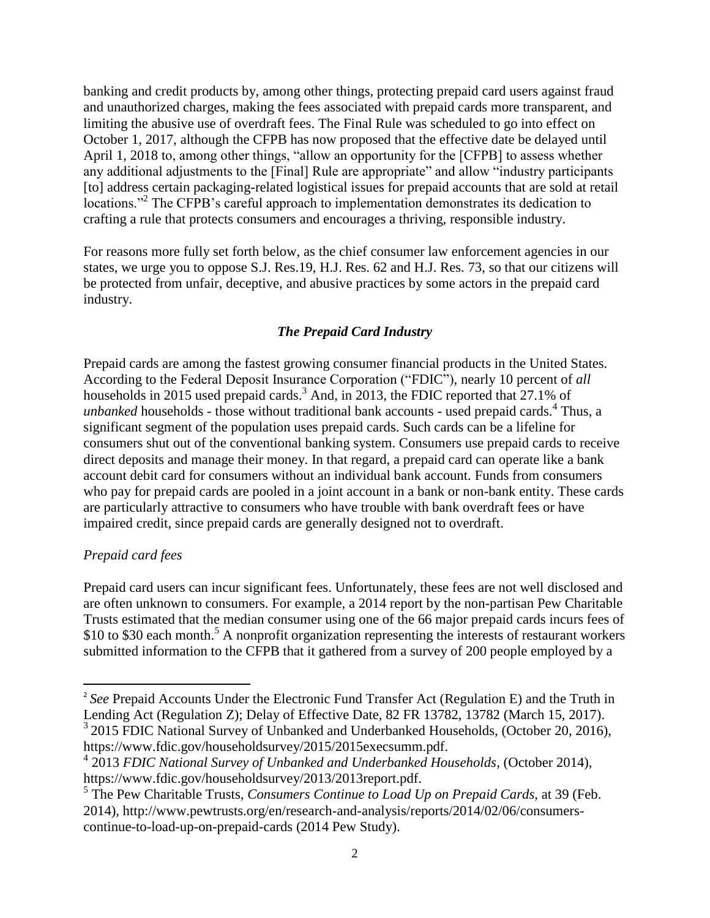banking and credit products by, among other things, protecting prepaid card users against fraud and unauthorized charges, making the fees associated with prepaid cards more transparent, and limiting the abusive use of overdraft fees. The Final Rule was scheduled to go into effect on October 1, 2017, although the CFPB has now proposed that the effective date be delayed until April 1, 2018 to, among other things, "allow an opportunity for the [CFPB] to assess whether any additional adjustments to the [Final] Rule are appropriate" and allow "industry participants [to] address certain packaging-related logistical issues for prepaid accounts that are sold at retail locations."<sup>2</sup> The CFPB's careful approach to implementation demonstrates its dedication to crafting a rule that protects consumers and encourages a thriving, responsible industry.

For reasons more fully set forth below, as the chief consumer law enforcement agencies in our states, we urge you to oppose S.J. Res.19, H.J. Res. 62 and H.J. Res. 73, so that our citizens will be protected from unfair, deceptive, and abusive practices by some actors in the prepaid card industry.

# *The Prepaid Card Industry*

Prepaid cards are among the fastest growing consumer financial products in the United States. According to the Federal Deposit Insurance Corporation ("FDIC"), nearly 10 percent of *all* households in 2015 used prepaid cards.<sup>3</sup> And, in 2013, the FDIC reported that 27.1% of unbanked households - those without traditional bank accounts - used prepaid cards.<sup>4</sup> Thus, a significant segment of the population uses prepaid cards. Such cards can be a lifeline for consumers shut out of the conventional banking system. Consumers use prepaid cards to receive direct deposits and manage their money. In that regard, a prepaid card can operate like a bank account debit card for consumers without an individual bank account. Funds from consumers who pay for prepaid cards are pooled in a joint account in a bank or non-bank entity. These cards are particularly attractive to consumers who have trouble with bank overdraft fees or have impaired credit, since prepaid cards are generally designed not to overdraft.

## *Prepaid card fees*

 $\overline{\phantom{a}}$ 

Prepaid card users can incur significant fees. Unfortunately, these fees are not well disclosed and are often unknown to consumers. For example, a 2014 report by the non-partisan Pew Charitable Trusts estimated that the median consumer using one of the 66 major prepaid cards incurs fees of  $$10$  to  $$30$  each month.<sup>5</sup> A nonprofit organization representing the interests of restaurant workers submitted information to the CFPB that it gathered from a survey of 200 people employed by a

<sup>&</sup>lt;sup>2</sup> See Prepaid Accounts Under the Electronic Fund Transfer Act (Regulation E) and the Truth in Lending Act (Regulation Z); Delay of Effective Date, 82 FR 13782, 13782 (March 15, 2017). <sup>3</sup> 2015 FDIC National Survey of Unbanked and Underbanked Households, (October 20, 2016), https://www.fdic.gov/householdsurvey/2015/2015execsumm.pdf.

<sup>4</sup> 2013 *FDIC National Survey of Unbanked and Underbanked Households*, (October 2014), https://www.fdic.gov/householdsurvey/2013/2013report.pdf.

<sup>5</sup> The Pew Charitable Trusts, *Consumers Continue to Load Up on Prepaid Cards,* at 39 (Feb. 2014), http://www.pewtrusts.org/en/research-and-analysis/reports/2014/02/06/consumerscontinue-to-load-up-on-prepaid-cards (2014 Pew Study).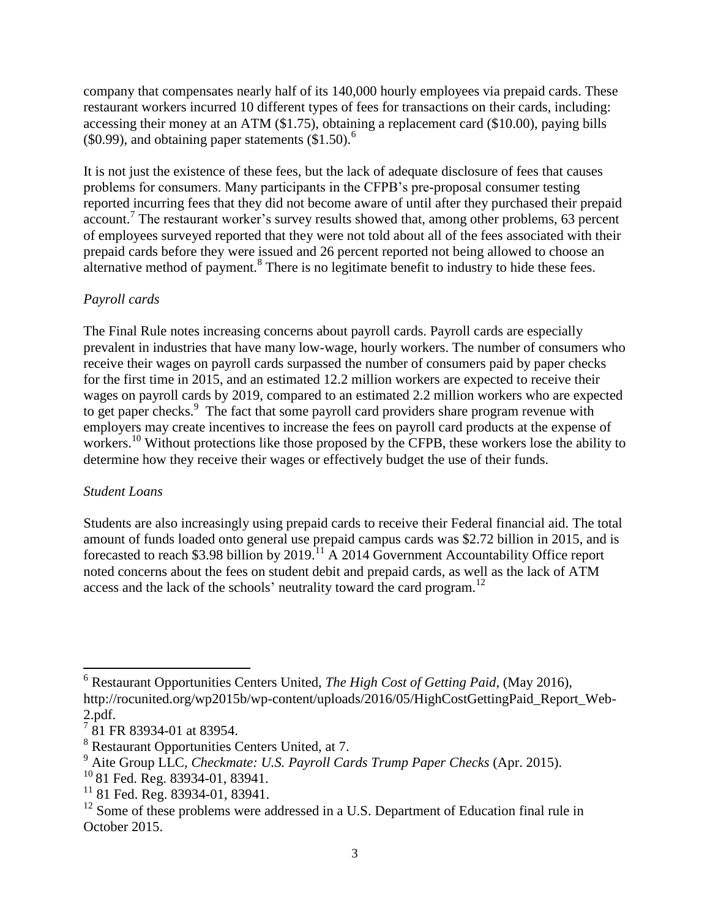company that compensates nearly half of its 140,000 hourly employees via prepaid cards. These restaurant workers incurred 10 different types of fees for transactions on their cards, including: accessing their money at an ATM (\$1.75), obtaining a replacement card (\$10.00), paying bills (\$0.99), and obtaining paper statements  $\$1.50$ ).<sup>6</sup>

It is not just the existence of these fees, but the lack of adequate disclosure of fees that causes problems for consumers. Many participants in the CFPB's pre-proposal consumer testing reported incurring fees that they did not become aware of until after they purchased their prepaid account.<sup>7</sup> The restaurant worker's survey results showed that, among other problems, 63 percent of employees surveyed reported that they were not told about all of the fees associated with their prepaid cards before they were issued and 26 percent reported not being allowed to choose an alternative method of payment.<sup>8</sup> There is no legitimate benefit to industry to hide these fees.

## *Payroll cards*

The Final Rule notes increasing concerns about payroll cards. Payroll cards are especially prevalent in industries that have many low-wage, hourly workers. The number of consumers who receive their wages on payroll cards surpassed the number of consumers paid by paper checks for the first time in 2015, and an estimated 12.2 million workers are expected to receive their wages on payroll cards by 2019, compared to an estimated 2.2 million workers who are expected to get paper checks.<sup>9</sup> The fact that some payroll card providers share program revenue with employers may create incentives to increase the fees on payroll card products at the expense of workers.<sup>10</sup> Without protections like those proposed by the CFPB, these workers lose the ability to determine how they receive their wages or effectively budget the use of their funds.

#### *Student Loans*

l

Students are also increasingly using prepaid cards to receive their Federal financial aid. The total amount of funds loaded onto general use prepaid campus cards was \$2.72 billion in 2015, and is forecasted to reach \$3.98 billion by  $2019$ .<sup>11</sup> A 2014 Government Accountability Office report noted concerns about the fees on student debit and prepaid cards, as well as the lack of ATM access and the lack of the schools' neutrality toward the card program.<sup>12</sup>

<sup>6</sup> Restaurant Opportunities Centers United, *The High Cost of Getting Paid*, (May 2016), http://rocunited.org/wp2015b/wp-content/uploads/2016/05/HighCostGettingPaid\_Report\_Web-2.pdf.

 $7\overline{8}$ 1 FR 83934-01 at 83954.

<sup>8</sup> Restaurant Opportunities Centers United, at 7.

<sup>9</sup> Aite Group LLC, *Checkmate: U.S. Payroll Cards Trump Paper Checks* (Apr. 2015).

 $10$  81 Fed. Reg. 83934-01, 83941.

 $11$  81 Fed. Reg. 83934-01, 83941.

<sup>&</sup>lt;sup>12</sup> Some of these problems were addressed in a U.S. Department of Education final rule in October 2015.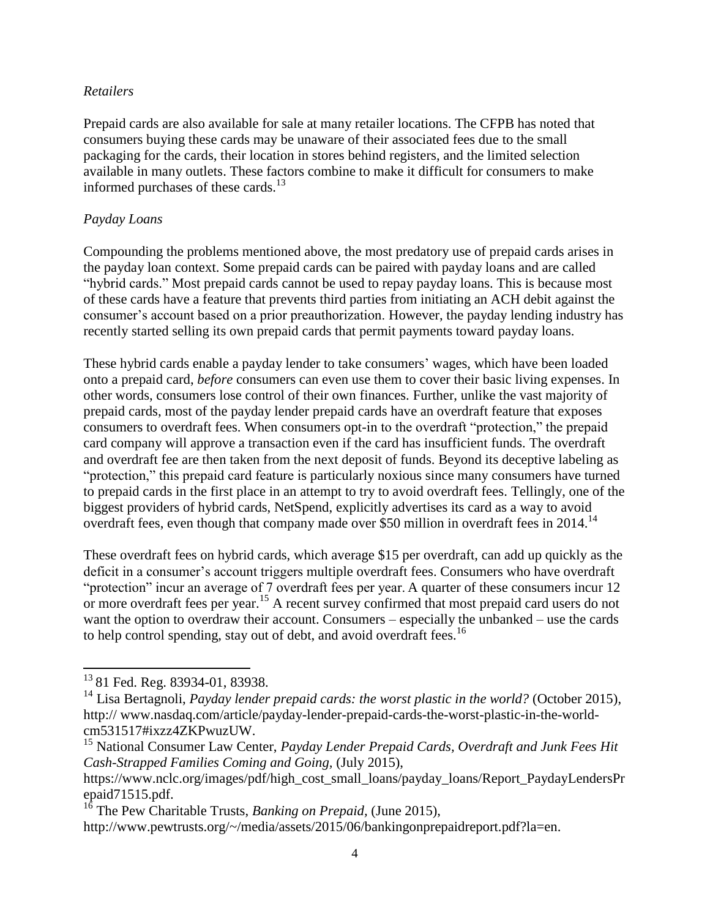#### *Retailers*

Prepaid cards are also available for sale at many retailer locations. The CFPB has noted that consumers buying these cards may be unaware of their associated fees due to the small packaging for the cards, their location in stores behind registers, and the limited selection available in many outlets. These factors combine to make it difficult for consumers to make informed purchases of these cards. $13$ 

#### *Payday Loans*

Compounding the problems mentioned above, the most predatory use of prepaid cards arises in the payday loan context. Some prepaid cards can be paired with payday loans and are called "hybrid cards." Most prepaid cards cannot be used to repay payday loans. This is because most of these cards have a feature that prevents third parties from initiating an ACH debit against the consumer's account based on a prior preauthorization. However, the payday lending industry has recently started selling its own prepaid cards that permit payments toward payday loans.

These hybrid cards enable a payday lender to take consumers' wages, which have been loaded onto a prepaid card, *before* consumers can even use them to cover their basic living expenses. In other words, consumers lose control of their own finances. Further, unlike the vast majority of prepaid cards, most of the payday lender prepaid cards have an overdraft feature that exposes consumers to overdraft fees. When consumers opt-in to the overdraft "protection," the prepaid card company will approve a transaction even if the card has insufficient funds. The overdraft and overdraft fee are then taken from the next deposit of funds. Beyond its deceptive labeling as "protection," this prepaid card feature is particularly noxious since many consumers have turned to prepaid cards in the first place in an attempt to try to avoid overdraft fees. Tellingly, one of the biggest providers of hybrid cards, NetSpend, explicitly advertises its card as a way to avoid overdraft fees, even though that company made over \$50 million in overdraft fees in 2014.<sup>14</sup>

These overdraft fees on hybrid cards, which average \$15 per overdraft, can add up quickly as the deficit in a consumer's account triggers multiple overdraft fees. Consumers who have overdraft "protection" incur an average of 7 overdraft fees per year. A quarter of these consumers incur 12 or more overdraft fees per year.<sup>15</sup> A recent survey confirmed that most prepaid card users do not want the option to overdraw their account. Consumers – especially the unbanked – use the cards to help control spending, stay out of debt, and avoid overdraft fees.<sup>16</sup>

l

<sup>&</sup>lt;sup>13</sup> 81 Fed. Reg. 83934-01, 83938.

<sup>&</sup>lt;sup>14</sup> Lisa Bertagnoli, *Payday lender prepaid cards: the worst plastic in the world?* (October 2015), http:// www.nasdaq.com/article/payday-lender-prepaid-cards-the-worst-plastic-in-the-worldcm531517#ixzz4ZKPwuzUW.

<sup>15</sup> National Consumer Law Center, *Payday Lender Prepaid Cards, Overdraft and Junk Fees Hit Cash-Strapped Families Coming and Going,* (July 2015),

https://www.nclc.org/images/pdf/high\_cost\_small\_loans/payday\_loans/Report\_PaydayLendersPr epaid71515.pdf.

<sup>16</sup> The Pew Charitable Trusts, *Banking on Prepaid,* (June 2015),

http://www.pewtrusts.org/~/media/assets/2015/06/bankingonprepaidreport.pdf?la=en.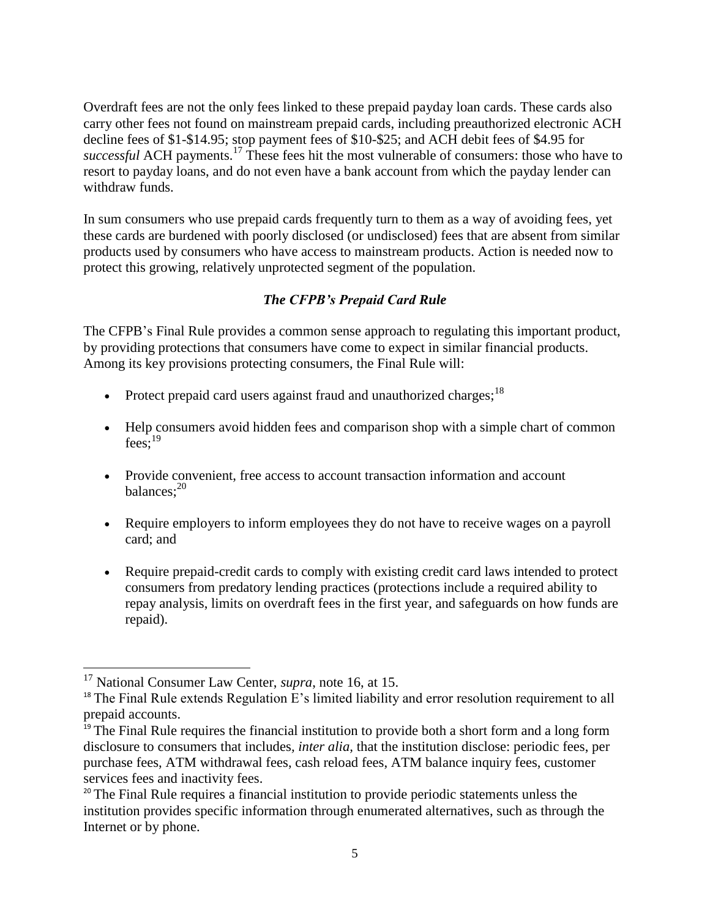Overdraft fees are not the only fees linked to these prepaid payday loan cards. These cards also carry other fees not found on mainstream prepaid cards, including preauthorized electronic ACH decline fees of \$1-\$14.95; stop payment fees of \$10-\$25; and ACH debit fees of \$4.95 for *successful* ACH payments.<sup>17</sup> These fees hit the most vulnerable of consumers: those who have to resort to payday loans, and do not even have a bank account from which the payday lender can withdraw funds.

In sum consumers who use prepaid cards frequently turn to them as a way of avoiding fees, yet these cards are burdened with poorly disclosed (or undisclosed) fees that are absent from similar products used by consumers who have access to mainstream products. Action is needed now to protect this growing, relatively unprotected segment of the population.

# *The CFPB's Prepaid Card Rule*

The CFPB's Final Rule provides a common sense approach to regulating this important product, by providing protections that consumers have come to expect in similar financial products. Among its key provisions protecting consumers, the Final Rule will:

- Protect prepaid card users against fraud and unauthorized charges;<sup>18</sup>
- Help consumers avoid hidden fees and comparison shop with a simple chart of common fees;<sup>19</sup>
- Provide convenient, free access to account transaction information and account balances; 20
- Require employers to inform employees they do not have to receive wages on a payroll card; and
- Require prepaid-credit cards to comply with existing credit card laws intended to protect consumers from predatory lending practices (protections include a required ability to repay analysis, limits on overdraft fees in the first year, and safeguards on how funds are repaid).

 $\overline{\phantom{a}}$ 

<sup>17</sup> National Consumer Law Center, *supra*, note 16, at 15.

 $18$  The Final Rule extends Regulation E's limited liability and error resolution requirement to all prepaid accounts.

<sup>&</sup>lt;sup>19</sup> The Final Rule requires the financial institution to provide both a short form and a long form disclosure to consumers that includes*, inter alia,* that the institution disclose: periodic fees, per purchase fees, ATM withdrawal fees, cash reload fees, ATM balance inquiry fees, customer services fees and inactivity fees.

<sup>&</sup>lt;sup>20</sup> The Final Rule requires a financial institution to provide periodic statements unless the institution provides specific information through enumerated alternatives, such as through the Internet or by phone.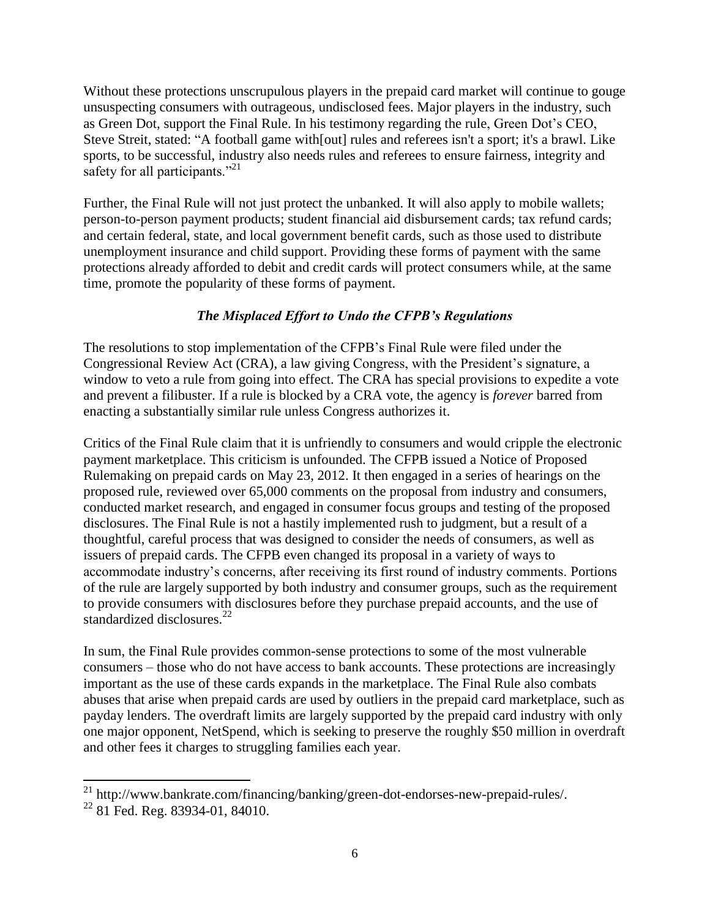Without these protections unscrupulous players in the prepaid card market will continue to gouge unsuspecting consumers with outrageous, undisclosed fees. Major players in the industry, such as Green Dot, support the Final Rule. In his testimony regarding the rule, Green Dot's CEO, Steve Streit, stated: "A football game with[out] rules and referees isn't a sport; it's a brawl. Like sports, to be successful, industry also needs rules and referees to ensure fairness, integrity and safety for all participants."<sup>21</sup>

Further, the Final Rule will not just protect the unbanked. It will also apply to mobile wallets; person-to-person payment products; student financial aid disbursement cards; tax refund cards; and certain federal, state, and local government benefit cards, such as those used to distribute unemployment insurance and child support. Providing these forms of payment with the same protections already afforded to debit and credit cards will protect consumers while, at the same time, promote the popularity of these forms of payment.

# *The Misplaced Effort to Undo the CFPB's Regulations*

The resolutions to stop implementation of the CFPB's Final Rule were filed under the [Congressional Review Act \(CRA\),](http://rulesatrisk.org/cra-about/) a law giving Congress, with the President's signature, a window to veto a rule from going into effect. The CRA has special provisions to expedite a vote and prevent a filibuster. If a rule is blocked by a CRA vote, the agency is *forever* barred from enacting a substantially similar rule unless Congress authorizes it.

Critics of the Final Rule claim that it is unfriendly to consumers and would cripple the electronic payment marketplace. This criticism is unfounded. The CFPB issued a Notice of Proposed Rulemaking on prepaid cards on May 23, 2012. It then engaged in a series of hearings on the proposed rule, reviewed over 65,000 comments on the proposal from industry and consumers, conducted market research, and engaged in consumer focus groups and testing of the proposed disclosures. The Final Rule is not a hastily implemented rush to judgment, but a result of a thoughtful, careful process that was designed to consider the needs of consumers, as well as issuers of prepaid cards. The CFPB even changed its proposal in a variety of ways to accommodate industry's concerns, after receiving its first round of industry comments. Portions of the rule are largely supported by both industry and consumer groups, such as the requirement to provide consumers with disclosures before they purchase prepaid accounts, and the use of standardized disclosures.<sup>22</sup>

In sum, the Final Rule provides common-sense protections to some of the most vulnerable consumers – those who do not have access to bank accounts. These protections are increasingly important as the use of these cards expands in the marketplace. The Final Rule also combats abuses that arise when prepaid cards are used by outliers in the prepaid card marketplace, such as payday lenders. The overdraft limits are largely supported by the prepaid card industry with only one major opponent, NetSpend, which is seeking to preserve the roughly \$50 million in overdraft and other fees it charges to struggling families each year.

 $\overline{\phantom{a}}$ <sup>21</sup> http://www.bankrate.com/financing/banking/green-dot-endorses-new-prepaid-rules/.

<sup>&</sup>lt;sup>22</sup> 81 Fed. Reg. 83934-01, 84010.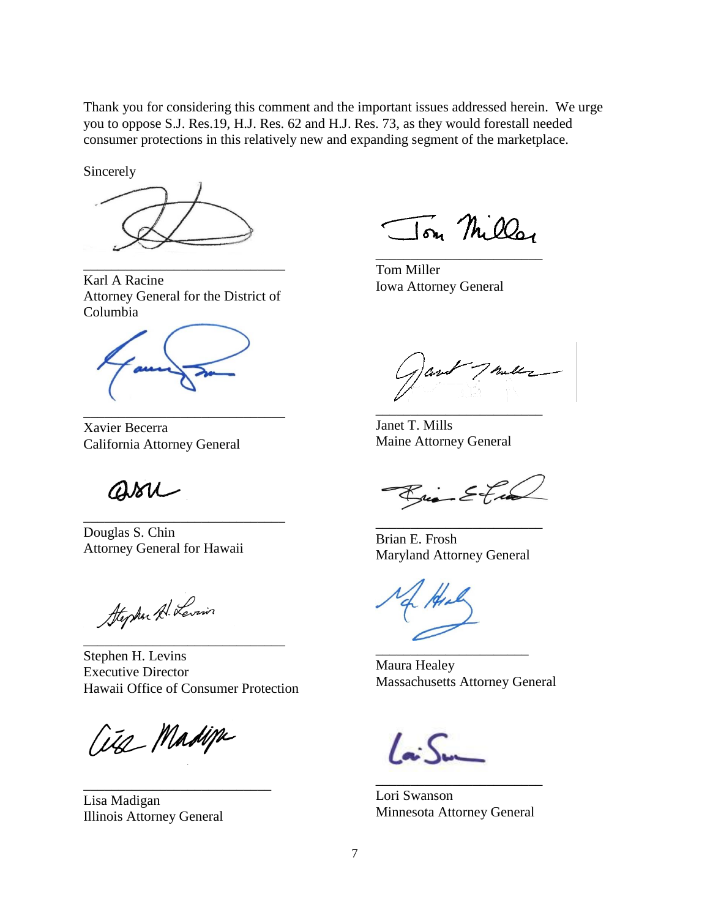Thank you for considering this comment and the important issues addressed herein. We urge you to oppose S.J. Res.19, H.J. Res. 62 and H.J. Res. 73, as they would forestall needed consumer protections in this relatively new and expanding segment of the marketplace.

Sincerely



Karl A Racine Attorney General for the District of Columbia

\_\_\_\_\_\_\_\_\_\_\_\_\_\_\_\_\_\_\_\_\_\_\_\_\_\_\_\_\_

\_\_\_\_\_\_\_\_\_\_\_\_\_\_\_\_\_\_\_\_\_\_\_\_\_\_\_\_\_

\_\_\_\_\_\_\_\_\_\_\_\_\_\_\_\_\_\_\_\_\_\_\_\_\_\_\_\_\_

Xavier Becerra California Attorney General

assi

Douglas S. Chin Attorney General for Hawaii

Stephen A. Levin

Stephen H. Levins Executive Director Hawaii Office of Consumer Protection

\_\_\_\_\_\_\_\_\_\_\_\_\_\_\_\_\_\_\_\_\_\_\_\_\_\_\_\_\_

Cita Madipa

\_\_\_\_\_\_\_\_\_\_\_\_\_\_\_\_\_\_\_\_\_\_\_\_\_\_\_

Lisa Madigan Illinois Attorney General

Ton Miller

\_\_\_\_\_\_\_\_\_\_\_\_\_\_\_\_\_\_\_\_\_\_\_\_

Tom Miller Iowa Attorney General

Thelle

Janet T. Mills Maine Attorney General

\_\_\_\_\_\_\_\_\_\_\_\_\_\_\_\_\_\_\_\_\_\_\_\_

Rico Etia

Brian E. Frosh Maryland Attorney General

\_\_\_\_\_\_\_\_\_\_\_\_\_\_\_\_\_\_\_\_\_\_\_\_

Maura Healey Massachusetts Attorney General

\_\_\_\_\_\_\_\_\_\_\_\_\_\_\_\_\_\_\_\_\_\_

 $\overline{C}$ 

Lori Swanson Minnesota Attorney General

\_\_\_\_\_\_\_\_\_\_\_\_\_\_\_\_\_\_\_\_\_\_\_\_